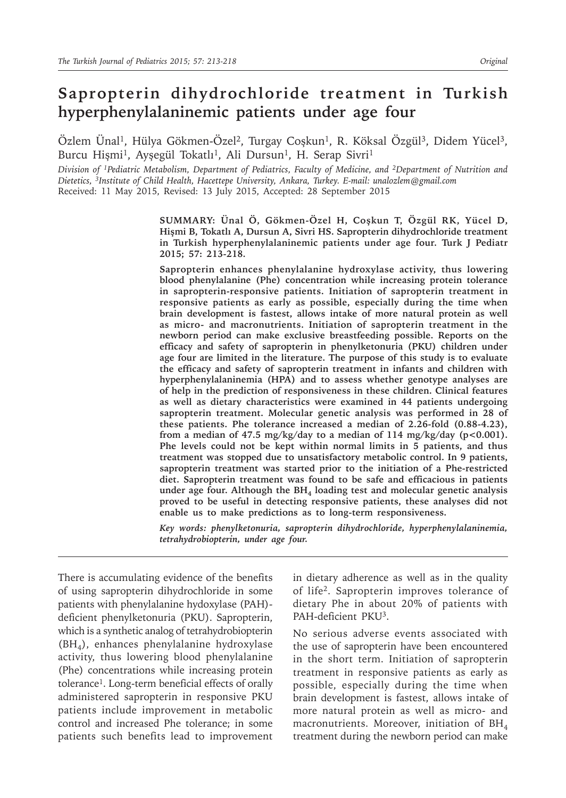# **Sapropterin dihydrochloride treatment in Turkish hyperphenylalaninemic patients under age four**

Özlem Ünal<sup>1</sup>, Hülya Gökmen-Özel<sup>2</sup>, Turgay Coşkun<sup>1</sup>, R. Köksal Özgül<sup>3</sup>, Didem Yücel<sup>3</sup>, Burcu Hişmi<sup>1</sup>, Ayşegül Tokatlı<sup>1</sup>, Ali Dursun<sup>1</sup>, H. Serap Sivri<sup>1</sup>

*Division of 1Pediatric Metabolism, Department of Pediatrics, Faculty of Medicine, and 2Department of Nutrition and Dietetics, 3Institute of Child Health, Hacettepe University, Ankara, Turkey. E-mail: unalozlem@gmail.com* Received: 11 May 2015, Revised: 13 July 2015, Accepted: 28 September 2015

> **SUMMARY: Ünal Ö, Gökmen-Özel H, Coşkun T, Özgül RK, Yücel D, Hişmi B, Tokatlı A, Dursun A, Sivri HS. Sapropterin dihydrochloride treatment in Turkish hyperphenylalaninemic patients under age four. Turk J Pediatr 2015; 57: 213-218.**

> **Sapropterin enhances phenylalanine hydroxylase activity, thus lowering blood phenylalanine (Phe) concentration while increasing protein tolerance in sapropterin-responsive patients. Initiation of sapropterin treatment in responsive patients as early as possible, especially during the time when brain development is fastest, allows intake of more natural protein as well as micro- and macronutrients. Initiation of sapropterin treatment in the newborn period can make exclusive breastfeeding possible. Reports on the efficacy and safety of sapropterin in phenylketonuria (PKU) children under age four are limited in the literature. The purpose of this study is to evaluate the efficacy and safety of sapropterin treatment in infants and children with hyperphenylalaninemia (HPA) and to assess whether genotype analyses are of help in the prediction of responsiveness in these children. Clinical features as well as dietary characteristics were examined in 44 patients undergoing sapropterin treatment. Molecular genetic analysis was performed in 28 of these patients. Phe tolerance increased a median of 2.26-fold (0.88-4.23),**  from a median of 47.5 mg/kg/day to a median of 114 mg/kg/day ( $p < 0.001$ ). **Phe levels could not be kept within normal limits in 5 patients, and thus treatment was stopped due to unsatisfactory metabolic control. In 9 patients, sapropterin treatment was started prior to the initiation of a Phe-restricted diet. Sapropterin treatment was found to be safe and efficacious in patients**  under age four. Although the BH<sub>4</sub> loading test and molecular genetic analysis **proved to be useful in detecting responsive patients, these analyses did not enable us to make predictions as to long-term responsiveness.**

> *Key words: phenylketonuria, sapropterin dihydrochloride, hyperphenylalaninemia, tetrahydrobiopterin, under age four.*

There is accumulating evidence of the benefits of using sapropterin dihydrochloride in some patients with phenylalanine hydoxylase (PAH) deficient phenylketonuria (PKU). Sapropterin, which is a synthetic analog of tetrahydrobiopterin (BH4), enhances phenylalanine hydroxylase activity, thus lowering blood phenylalanine (Phe) concentrations while increasing protein tolerance<sup>1</sup>. Long-term beneficial effects of orally administered sapropterin in responsive PKU patients include improvement in metabolic control and increased Phe tolerance; in some patients such benefits lead to improvement in dietary adherence as well as in the quality of life<sup>2</sup>. Sapropterin improves tolerance of dietary Phe in about 20% of patients with PAH-deficient PKU3.

No serious adverse events associated with the use of sapropterin have been encountered in the short term. Initiation of sapropterin treatment in responsive patients as early as possible, especially during the time when brain development is fastest, allows intake of more natural protein as well as micro- and macronutrients. Moreover, initiation of  $BH<sub>4</sub>$ treatment during the newborn period can make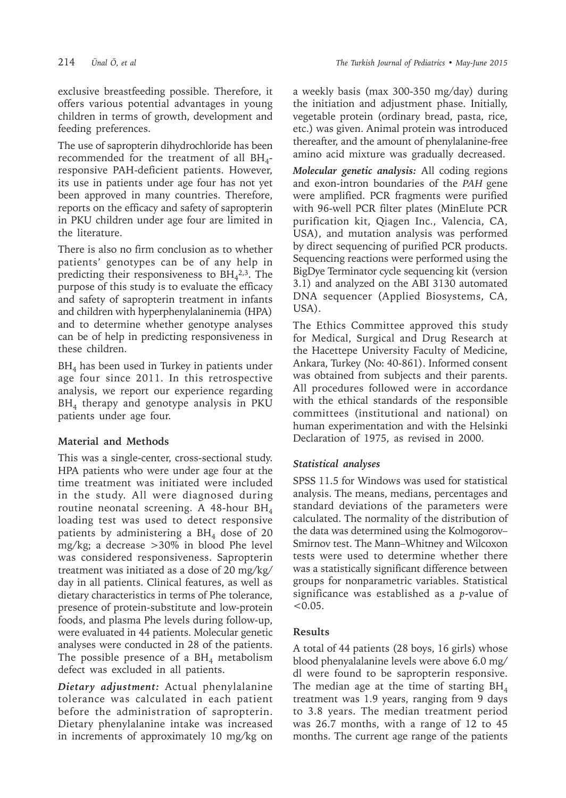exclusive breastfeeding possible. Therefore, it offers various potential advantages in young children in terms of growth, development and feeding preferences.

The use of sapropterin dihydrochloride has been recommended for the treatment of all  $BH<sub>4</sub>$ responsive PAH-deficient patients. However, its use in patients under age four has not yet been approved in many countries. Therefore, reports on the efficacy and safety of sapropterin in PKU children under age four are limited in the literature.

There is also no firm conclusion as to whether patients' genotypes can be of any help in predicting their responsiveness to  $BH<sub>4</sub><sup>2,3</sup>$ . The purpose of this study is to evaluate the efficacy and safety of sapropterin treatment in infants and children with hyperphenylalaninemia (HPA) and to determine whether genotype analyses can be of help in predicting responsiveness in these children.

 $BH<sub>4</sub>$  has been used in Turkey in patients under age four since 2011. In this retrospective analysis, we report our experience regarding BH<sub>4</sub> therapy and genotype analysis in PKU patients under age four.

# **Material and Methods**

This was a single-center, cross-sectional study. HPA patients who were under age four at the time treatment was initiated were included in the study. All were diagnosed during routine neonatal screening. A 48-hour  $BH<sub>4</sub>$ loading test was used to detect responsive patients by administering a  $BH<sub>4</sub>$  dose of 20 mg/kg; a decrease >30% in blood Phe level was considered responsiveness. Sapropterin treatment was initiated as a dose of 20 mg/kg/ day in all patients. Clinical features, as well as dietary characteristics in terms of Phe tolerance, presence of protein-substitute and low-protein foods, and plasma Phe levels during follow-up, were evaluated in 44 patients. Molecular genetic analyses were conducted in 28 of the patients. The possible presence of a  $BH<sub>4</sub>$  metabolism defect was excluded in all patients.

*Dietary adjustment:* Actual phenylalanine tolerance was calculated in each patient before the administration of sapropterin. Dietary phenylalanine intake was increased in increments of approximately 10 mg/kg on

a weekly basis (max 300-350 mg/day) during the initiation and adjustment phase. Initially, vegetable protein (ordinary bread, pasta, rice, etc.) was given. Animal protein was introduced thereafter, and the amount of phenylalanine-free amino acid mixture was gradually decreased.

*Molecular genetic analysis:* All coding regions and exon-intron boundaries of the *PAH* gene were amplified. PCR fragments were purified with 96-well PCR filter plates (MinElute PCR purification kit, Qiagen Inc., Valencia, CA, USA), and mutation analysis was performed by direct sequencing of purified PCR products. Sequencing reactions were performed using the BigDye Terminator cycle sequencing kit (version 3.1) and analyzed on the ABI 3130 automated DNA sequencer (Applied Biosystems, CA, USA).

The Ethics Committee approved this study for Medical, Surgical and Drug Research at the Hacettepe University Faculty of Medicine, Ankara, Turkey (No: 40-861). Informed consent was obtained from subjects and their parents. All procedures followed were in accordance with the ethical standards of the responsible committees (institutional and national) on human experimentation and with the Helsinki Declaration of 1975, as revised in 2000.

# *Statistical analyses*

SPSS 11.5 for Windows was used for statistical analysis. The means, medians, percentages and standard deviations of the parameters were calculated. The normality of the distribution of the data was determined using the Kolmogorov– Smirnov test. The Mann–Whitney and Wilcoxon tests were used to determine whether there was a statistically significant difference between groups for nonparametric variables. Statistical significance was established as a *p*-value of  $< 0.05$ .

# **Results**

A total of 44 patients (28 boys, 16 girls) whose blood phenyalalanine levels were above 6.0 mg/ dl were found to be sapropterin responsive. The median age at the time of starting  $BH<sub>4</sub>$ treatment was 1.9 years, ranging from 9 days to 3.8 years. The median treatment period was 26.7 months, with a range of 12 to 45 months. The current age range of the patients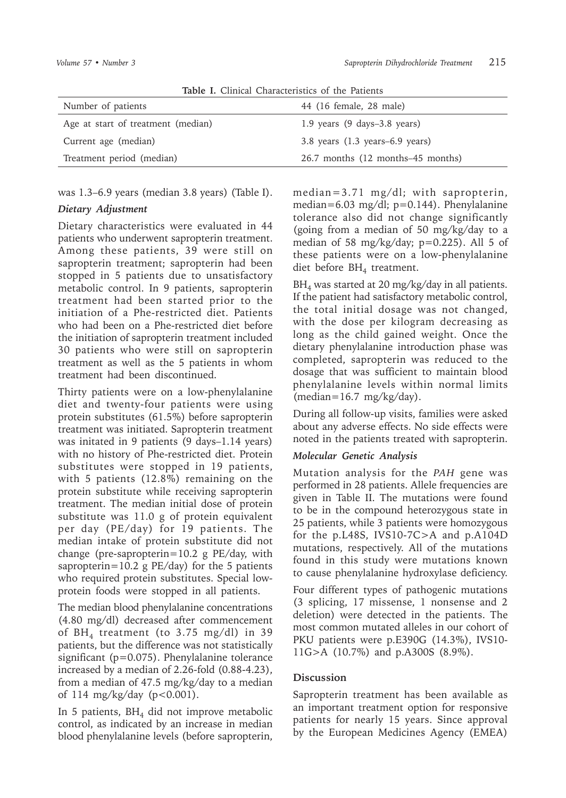| <b>Table I.</b> Clinical Characteristics of the Patients |                                                |  |
|----------------------------------------------------------|------------------------------------------------|--|
| Number of patients                                       | 44 (16 female, 28 male)                        |  |
| Age at start of treatment (median)                       | 1.9 years $(9 \text{ days}-3.8 \text{ years})$ |  |
| Current age (median)                                     | $3.8$ years $(1.3$ years–6.9 years)            |  |
| Treatment period (median)                                | 26.7 months (12 months–45 months)              |  |
|                                                          |                                                |  |

**Table I.** Clinical Characteristics of the Patients

was 1.3–6.9 years (median 3.8 years) (Table I).

#### *Dietary Adjustment*

Dietary characteristics were evaluated in 44 patients who underwent sapropterin treatment. Among these patients, 39 were still on sapropterin treatment; sapropterin had been stopped in 5 patients due to unsatisfactory metabolic control. In 9 patients, sapropterin treatment had been started prior to the initiation of a Phe-restricted diet. Patients who had been on a Phe-restricted diet before the initiation of sapropterin treatment included 30 patients who were still on sapropterin treatment as well as the 5 patients in whom treatment had been discontinued.

Thirty patients were on a low-phenylalanine diet and twenty-four patients were using protein substitutes (61.5%) before sapropterin treatment was initiated. Sapropterin treatment was initated in 9 patients (9 days–1.14 years) with no history of Phe-restricted diet. Protein substitutes were stopped in 19 patients, with 5 patients (12.8%) remaining on the protein substitute while receiving sapropterin treatment. The median initial dose of protein substitute was 11.0 g of protein equivalent per day (PE/day) for 19 patients. The median intake of protein substitute did not change (pre-sapropterin=10.2 g PE/day, with sapropterin=10.2 g PE/day) for the 5 patients who required protein substitutes. Special lowprotein foods were stopped in all patients.

The median blood phenylalanine concentrations (4.80 mg/dl) decreased after commencement of  $BH<sub>4</sub>$  treatment (to 3.75 mg/dl) in 39 patients, but the difference was not statistically significant (p=0.075). Phenylalanine tolerance increased by a median of 2.26-fold (0.88-4.23), from a median of 47.5 mg/kg/day to a median of 114 mg/kg/day (p<0.001).

In 5 patients,  $BH<sub>4</sub>$  did not improve metabolic control, as indicated by an increase in median blood phenylalanine levels (before sapropterin, median=3.71 mg/dl; with sapropterin, median=6.03 mg/dl; p=0.144). Phenylalanine tolerance also did not change significantly (going from a median of 50 mg/kg/day to a median of 58 mg/kg/day;  $p=0.225$ ). All 5 of these patients were on a low-phenylalanine diet before BH<sub>4</sub> treatment.

 $BH<sub>4</sub>$  was started at 20 mg/kg/day in all patients. If the patient had satisfactory metabolic control, the total initial dosage was not changed, with the dose per kilogram decreasing as long as the child gained weight. Once the dietary phenylalanine introduction phase was completed, sapropterin was reduced to the dosage that was sufficient to maintain blood phenylalanine levels within normal limits  $(median=16.7 mg/kg/day).$ 

During all follow-up visits, families were asked about any adverse effects. No side effects were noted in the patients treated with sapropterin.

### *Molecular Genetic Analysis*

Mutation analysis for the *PAH* gene was performed in 28 patients. Allele frequencies are given in Table II. The mutations were found to be in the compound heterozygous state in 25 patients, while 3 patients were homozygous for the p.L48S, IVS10-7C>A and p.A104D mutations, respectively. All of the mutations found in this study were mutations known to cause phenylalanine hydroxylase deficiency.

Four different types of pathogenic mutations (3 splicing, 17 missense, 1 nonsense and 2 deletion) were detected in the patients. The most common mutated alleles in our cohort of PKU patients were p.E390G (14.3%), IVS10- 11G>A (10.7%) and p.A300S (8.9%).

### **Discussion**

Sapropterin treatment has been available as an important treatment option for responsive patients for nearly 15 years. Since approval by the European Medicines Agency (EMEA)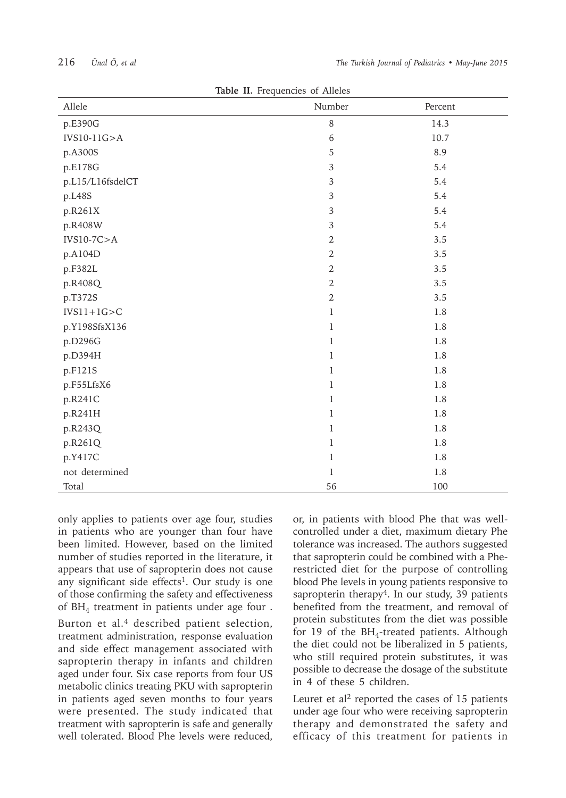| 216 | Ünal Ö, et al |  |  |  |
|-----|---------------|--|--|--|
|-----|---------------|--|--|--|

| <b>Table II.</b> Frequencies of Alleles |                |         |  |  |
|-----------------------------------------|----------------|---------|--|--|
| Allele                                  | Number         | Percent |  |  |
| p.E390G                                 | $\,8\,$        | 14.3    |  |  |
| $IVS10-11G>A$                           | $\,6\,$        | 10.7    |  |  |
| p.A300S                                 | 5              | 8.9     |  |  |
| p.E178G                                 | $\overline{3}$ | 5.4     |  |  |
| p.L15/L16fsdelCT                        | $\mathfrak{Z}$ | 5.4     |  |  |
| p.L48S                                  | $\overline{3}$ | 5.4     |  |  |
| p.R261X                                 | $\overline{3}$ | 5.4     |  |  |
| p.R408W                                 | $\overline{3}$ | 5.4     |  |  |
| $IVS10-7C > A$                          | $\overline{2}$ | 3.5     |  |  |
| p.A104D                                 | $\overline{2}$ | 3.5     |  |  |
| p.F382L                                 | $\overline{2}$ | 3.5     |  |  |
| p.R408Q                                 | $\overline{2}$ | 3.5     |  |  |
| p.T372S                                 | $\overline{2}$ | 3.5     |  |  |
| $IVS11+1G > C$                          | $\mathbf{1}$   | 1.8     |  |  |
| p.Y198SfsX136                           | $\mathbf{1}$   | 1.8     |  |  |
| p.D296G                                 | $\mathbf{1}$   | 1.8     |  |  |
| p.D394H                                 | $\mathbf{1}$   | 1.8     |  |  |
| p.F121S                                 | $\mathbf{1}$   | 1.8     |  |  |
| p.F55LfsX6                              | $\mathbf{1}$   | 1.8     |  |  |
| p.R241C                                 | $\mathbf{1}$   | 1.8     |  |  |
| p.R241H                                 | $\mathbf{1}$   | 1.8     |  |  |
| p.R243Q                                 | $\mathbf{1}$   | 1.8     |  |  |
| p.R261Q                                 | $\mathbf{1}$   | 1.8     |  |  |
| p.Y417C                                 | $\mathbf{1}$   | 1.8     |  |  |
| not determined                          | $\mathbf{1}$   | 1.8     |  |  |
| Total                                   | 56             | 100     |  |  |

**Table II.** Frequencies of Alleles

only applies to patients over age four, studies in patients who are younger than four have been limited. However, based on the limited number of studies reported in the literature, it appears that use of sapropterin does not cause any significant side effects<sup>1</sup>. Our study is one of those confirming the safety and effectiveness of BH4 treatment in patients under age four .

Burton et al.<sup>4</sup> described patient selection, treatment administration, response evaluation and side effect management associated with sapropterin therapy in infants and children aged under four. Six case reports from four US metabolic clinics treating PKU with sapropterin in patients aged seven months to four years were presented. The study indicated that treatment with sapropterin is safe and generally well tolerated. Blood Phe levels were reduced,

or, in patients with blood Phe that was wellcontrolled under a diet, maximum dietary Phe tolerance was increased. The authors suggested that sapropterin could be combined with a Pherestricted diet for the purpose of controlling blood Phe levels in young patients responsive to sapropterin therapy<sup>4</sup>. In our study, 39 patients benefited from the treatment, and removal of protein substitutes from the diet was possible for 19 of the  $BH<sub>4</sub>$ -treated patients. Although the diet could not be liberalized in 5 patients, who still required protein substitutes, it was possible to decrease the dosage of the substitute in 4 of these 5 children.

Leuret et al<sup>2</sup> reported the cases of 15 patients under age four who were receiving sapropterin therapy and demonstrated the safety and efficacy of this treatment for patients in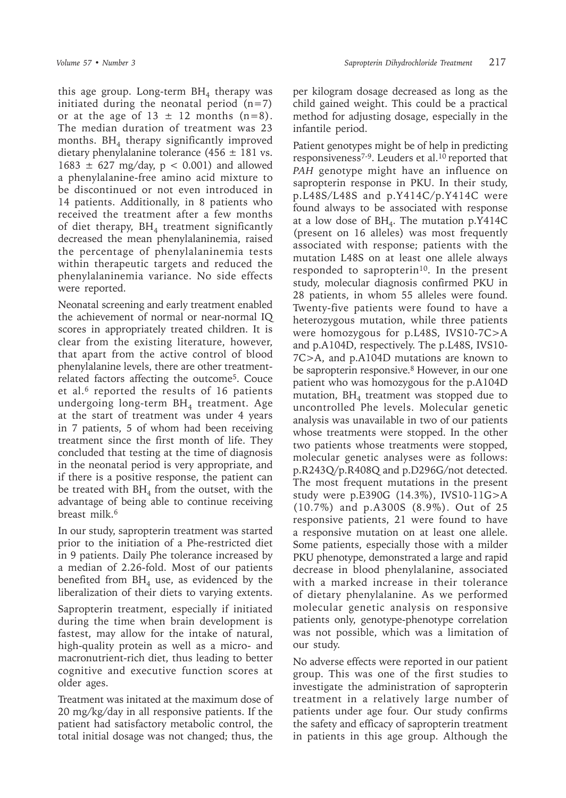this age group. Long-term  $BH<sub>4</sub>$  therapy was initiated during the neonatal period  $(n=7)$ or at the age of  $13 \pm 12$  months  $(n=8)$ . The median duration of treatment was 23 months.  $BH<sub>4</sub>$  therapy significantly improved dietary phenylalanine tolerance  $(456 \pm 181 \text{ vs.})$  $1683 \pm 627$  mg/day, p < 0.001) and allowed a phenylalanine-free amino acid mixture to be discontinued or not even introduced in 14 patients. Additionally, in 8 patients who received the treatment after a few months of diet therapy,  $BH<sub>4</sub>$  treatment significantly decreased the mean phenylalaninemia, raised the percentage of phenylalaninemia tests within therapeutic targets and reduced the phenylalaninemia variance. No side effects were reported.

Neonatal screening and early treatment enabled the achievement of normal or near-normal IQ scores in appropriately treated children. It is clear from the existing literature, however, that apart from the active control of blood phenylalanine levels, there are other treatmentrelated factors affecting the outcome<sup>5</sup>. Couce et al.<sup>6</sup> reported the results of 16 patients undergoing long-term  $BH<sub>4</sub>$  treatment. Age at the start of treatment was under 4 years in 7 patients, 5 of whom had been receiving treatment since the first month of life. They concluded that testing at the time of diagnosis in the neonatal period is very appropriate, and if there is a positive response, the patient can be treated with  $BH<sub>4</sub>$  from the outset, with the advantage of being able to continue receiving breast milk.<sup>6</sup>

In our study, sapropterin treatment was started prior to the initiation of a Phe-restricted diet in 9 patients. Daily Phe tolerance increased by a median of 2.26-fold. Most of our patients benefited from  $BH<sub>4</sub>$  use, as evidenced by the liberalization of their diets to varying extents.

Sapropterin treatment, especially if initiated during the time when brain development is fastest, may allow for the intake of natural, high-quality protein as well as a micro- and macronutrient-rich diet, thus leading to better cognitive and executive function scores at older ages.

Treatment was initated at the maximum dose of 20 mg/kg/day in all responsive patients. If the patient had satisfactory metabolic control, the total initial dosage was not changed; thus, the

per kilogram dosage decreased as long as the child gained weight. This could be a practical method for adjusting dosage, especially in the infantile period.

Patient genotypes might be of help in predicting responsiveness<sup>7-9</sup>. Leuders et al.<sup>10</sup> reported that *PAH* genotype might have an influence on sapropterin response in PKU. In their study, p.L48S/L48S and p.Y414C/p.Y414C were found always to be associated with response at a low dose of  $BH<sub>4</sub>$ . The mutation p.Y414C (present on 16 alleles) was most frequently associated with response; patients with the mutation L48S on at least one allele always responded to sapropterin<sup>10</sup>. In the present study, molecular diagnosis confirmed PKU in 28 patients, in whom 55 alleles were found. Twenty-five patients were found to have a heterozygous mutation, while three patients were homozygous for p.L48S, IVS10-7C>A and p.A104D, respectively. The p.L48S, IVS10- 7C>A, and p.A104D mutations are known to be sapropterin responsive.<sup>8</sup> However, in our one patient who was homozygous for the p.A104D mutation,  $BH<sub>4</sub>$  treatment was stopped due to uncontrolled Phe levels. Molecular genetic analysis was unavailable in two of our patients whose treatments were stopped. In the other two patients whose treatments were stopped, molecular genetic analyses were as follows: p.R243Q/p.R408Q and p.D296G/not detected. The most frequent mutations in the present study were p.E390G (14.3%), IVS10-11G>A (10.7%) and p.A300S (8.9%). Out of 25 responsive patients, 21 were found to have a responsive mutation on at least one allele. Some patients, especially those with a milder PKU phenotype, demonstrated a large and rapid decrease in blood phenylalanine, associated with a marked increase in their tolerance of dietary phenylalanine. As we performed molecular genetic analysis on responsive patients only, genotype-phenotype correlation was not possible, which was a limitation of our study.

No adverse effects were reported in our patient group. This was one of the first studies to investigate the administration of sapropterin treatment in a relatively large number of patients under age four. Our study confirms the safety and efficacy of sapropterin treatment in patients in this age group. Although the